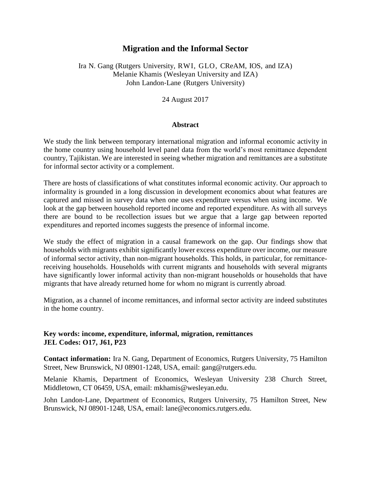## **Migration and the Informal Sector**

### Ira N. Gang (Rutgers University, RWI, GLO, CReAM, IOS, and IZA) Melanie Khamis (Wesleyan University and IZA) John Landon‐Lane (Rutgers University)

24 August 2017

### **Abstract**

We study the link between temporary international migration and informal economic activity in the home country using household level panel data from the world's most remittance dependent country, Tajikistan. We are interested in seeing whether migration and remittances are a substitute for informal sector activity or a complement.

There are hosts of classifications of what constitutes informal economic activity. Our approach to informality is grounded in a long discussion in development economics about what features are captured and missed in survey data when one uses expenditure versus when using income. We look at the gap between household reported income and reported expenditure. As with all surveys there are bound to be recollection issues but we argue that a large gap between reported expenditures and reported incomes suggests the presence of informal income.

We study the effect of migration in a causal framework on the gap. Our findings show that households with migrants exhibit significantly lower excess expenditure over income, our measure of informal sector activity, than non-migrant households. This holds, in particular, for remittancereceiving households. Households with current migrants and households with several migrants have significantly lower informal activity than non-migrant households or households that have migrants that have already returned home for whom no migrant is currently abroad.

Migration, as a channel of income remittances, and informal sector activity are indeed substitutes in the home country.

### **Key words: income, expenditure, informal, migration, remittances JEL Codes: O17, J61, P23**

**Contact information:** Ira N. Gang, Department of Economics, Rutgers University, 75 Hamilton Street, New Brunswick, NJ 08901‐1248, USA, email: gang@rutgers.edu.

Melanie Khamis, Department of Economics, Wesleyan University 238 Church Street, Middletown, CT 06459, USA, email: [mkhamis@wesleyan.edu.](mailto:mkhamis@wesleyan.edu)

John Landon‐Lane, Department of Economics, Rutgers University, 75 Hamilton Street, New Brunswick, NJ 08901‐1248, USA, email: [lane@economics.rutgers.edu.](mailto:lane@economics.rutgers.edu)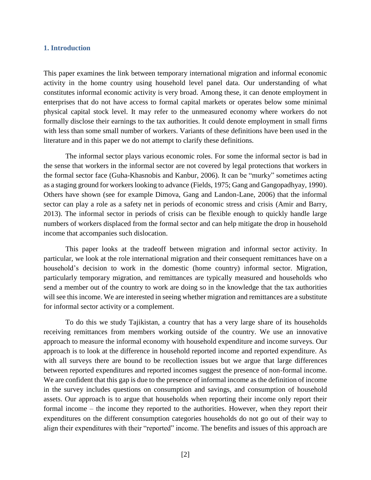#### **1. Introduction**

This paper examines the link between temporary international migration and informal economic activity in the home country using household level panel data. Our understanding of what constitutes informal economic activity is very broad. Among these, it can denote employment in enterprises that do not have access to formal capital markets or operates below some minimal physical capital stock level. It may refer to the unmeasured economy where workers do not formally disclose their earnings to the tax authorities. It could denote employment in small firms with less than some small number of workers. Variants of these definitions have been used in the literature and in this paper we do not attempt to clarify these definitions.

The informal sector plays various economic roles. For some the informal sector is bad in the sense that workers in the informal sector are not covered by legal protections that workers in the formal sector face (Guha-Khasnobis and Kanbur, 2006). It can be "murky" sometimes acting as a staging ground for workers looking to advance (Fields, 1975; Gang and Gangopadhyay, 1990). Others have shown (see for example Dimova, Gang and Landon-Lane, 2006) that the informal sector can play a role as a safety net in periods of economic stress and crisis (Amir and Barry, 2013). The informal sector in periods of crisis can be flexible enough to quickly handle large numbers of workers displaced from the formal sector and can help mitigate the drop in household income that accompanies such dislocation.

This paper looks at the tradeoff between migration and informal sector activity. In particular, we look at the role international migration and their consequent remittances have on a household's decision to work in the domestic (home country) informal sector. Migration, particularly temporary migration, and remittances are typically measured and households who send a member out of the country to work are doing so in the knowledge that the tax authorities will see this income. We are interested in seeing whether migration and remittances are a substitute for informal sector activity or a complement.

To do this we study Tajikistan, a country that has a very large share of its households receiving remittances from members working outside of the country. We use an innovative approach to measure the informal economy with household expenditure and income surveys. Our approach is to look at the difference in household reported income and reported expenditure. As with all surveys there are bound to be recollection issues but we argue that large differences between reported expenditures and reported incomes suggest the presence of non-formal income. We are confident that this gap is due to the presence of informal income as the definition of income in the survey includes questions on consumption and savings, and consumption of household assets. Our approach is to argue that households when reporting their income only report their formal income – the income they reported to the authorities. However, when they report their expenditures on the different consumption categories households do not go out of their way to align their expenditures with their "reported" income. The benefits and issues of this approach are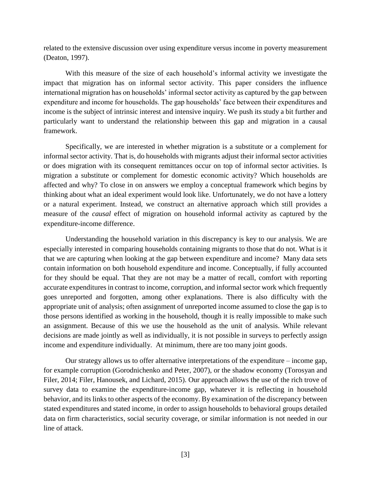related to the extensive discussion over using expenditure versus income in poverty measurement (Deaton, 1997).

With this measure of the size of each household's informal activity we investigate the impact that migration has on informal sector activity. This paper considers the influence international migration has on households' informal sector activity as captured by the gap between expenditure and income for households. The gap households' face between their expenditures and income is the subject of intrinsic interest and intensive inquiry. We push its study a bit further and particularly want to understand the relationship between this gap and migration in a causal framework.

Specifically, we are interested in whether migration is a substitute or a complement for informal sector activity. That is, do households with migrants adjust their informal sector activities or does migration with its consequent remittances occur on top of informal sector activities. Is migration a substitute or complement for domestic economic activity? Which households are affected and why? To close in on answers we employ a conceptual framework which begins by thinking about what an ideal experiment would look like. Unfortunately, we do not have a lottery or a natural experiment. Instead, we construct an alternative approach which still provides a measure of the *causal* effect of migration on household informal activity as captured by the expenditure-income difference.

Understanding the household variation in this discrepancy is key to our analysis. We are especially interested in comparing households containing migrants to those that do not. What is it that we are capturing when looking at the gap between expenditure and income? Many data sets contain information on both household expenditure and income. Conceptually, if fully accounted for they should be equal. That they are not may be a matter of recall, comfort with reporting accurate expenditures in contrast to income, corruption, and informal sector work which frequently goes unreported and forgotten, among other explanations. There is also difficulty with the appropriate unit of analysis; often assignment of unreported income assumed to close the gap is to those persons identified as working in the household, though it is really impossible to make such an assignment. Because of this we use the household as the unit of analysis. While relevant decisions are made jointly as well as individually, it is not possible in surveys to perfectly assign income and expenditure individually. At minimum, there are too many joint goods.

Our strategy allows us to offer alternative interpretations of the expenditure – income gap, for example corruption (Gorodnichenko and Peter, 2007), or the shadow economy (Torosyan and Filer, 2014; Filer, Hanousek, and Lichard, 2015). Our approach allows the use of the rich trove of survey data to examine the expenditure-income gap, whatever it is reflecting in household behavior, and its links to other aspects of the economy. By examination of the discrepancy between stated expenditures and stated income, in order to assign households to behavioral groups detailed data on firm characteristics, social security coverage, or similar information is not needed in our line of attack.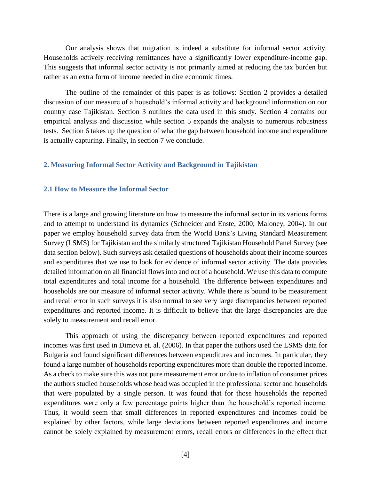Our analysis shows that migration is indeed a substitute for informal sector activity. Households actively receiving remittances have a significantly lower expenditure-income gap. This suggests that informal sector activity is not primarily aimed at reducing the tax burden but rather as an extra form of income needed in dire economic times.

The outline of the remainder of this paper is as follows: Section 2 provides a detailed discussion of our measure of a household's informal activity and background information on our country case Tajikistan. Section 3 outlines the data used in this study. Section 4 contains our empirical analysis and discussion while section 5 expands the analysis to numerous robustness tests. Section 6 takes up the question of what the gap between household income and expenditure is actually capturing. Finally, in section 7 we conclude.

#### **2. Measuring Informal Sector Activity and Background in Tajikistan**

#### **2.1 How to Measure the Informal Sector**

There is a large and growing literature on how to measure the informal sector in its various forms and to attempt to understand its dynamics (Schneider and Enste, 2000; Maloney, 2004). In our paper we employ household survey data from the World Bank's Living Standard Measurement Survey (LSMS) for Tajikistan and the similarly structured Tajikistan Household Panel Survey (see data section below). Such surveys ask detailed questions of households about their income sources and expenditures that we use to look for evidence of informal sector activity. The data provides detailed information on all financial flows into and out of a household. We use this data to compute total expenditures and total income for a household. The difference between expenditures and households are our measure of informal sector activity. While there is bound to be measurement and recall error in such surveys it is also normal to see very large discrepancies between reported expenditures and reported income. It is difficult to believe that the large discrepancies are due solely to measurement and recall error.

This approach of using the discrepancy between reported expenditures and reported incomes was first used in Dimova et. al. (2006). In that paper the authors used the LSMS data for Bulgaria and found significant differences between expenditures and incomes. In particular, they found a large number of households reporting expenditures more than double the reported income. As a check to make sure this was not pure measurement error or due to inflation of consumer prices the authors studied households whose head was occupied in the professional sector and households that were populated by a single person. It was found that for those households the reported expenditures were only a few percentage points higher than the household's reported income. Thus, it would seem that small differences in reported expenditures and incomes could be explained by other factors, while large deviations between reported expenditures and income cannot be solely explained by measurement errors, recall errors or differences in the effect that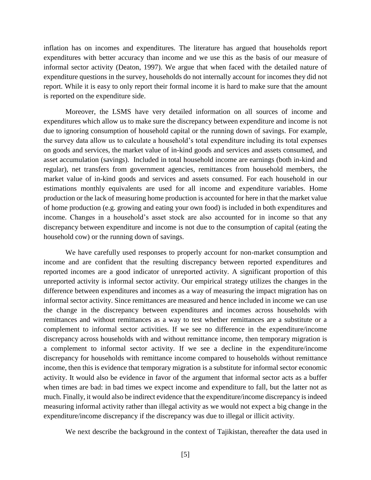inflation has on incomes and expenditures. The literature has argued that households report expenditures with better accuracy than income and we use this as the basis of our measure of informal sector activity (Deaton, 1997). We argue that when faced with the detailed nature of expenditure questions in the survey, households do not internally account for incomes they did not report. While it is easy to only report their formal income it is hard to make sure that the amount is reported on the expenditure side.

Moreover, the LSMS have very detailed information on all sources of income and expenditures which allow us to make sure the discrepancy between expenditure and income is not due to ignoring consumption of household capital or the running down of savings. For example, the survey data allow us to calculate a household's total expenditure including its total expenses on goods and services, the market value of in-kind goods and services and assets consumed, and asset accumulation (savings). Included in total household income are earnings (both in-kind and regular), net transfers from government agencies, remittances from household members, the market value of in-kind goods and services and assets consumed. For each household in our estimations monthly equivalents are used for all income and expenditure variables. Home production or the lack of measuring home production is accounted for here in that the market value of home production (e.g. growing and eating your own food) is included in both expenditures and income. Changes in a household's asset stock are also accounted for in income so that any discrepancy between expenditure and income is not due to the consumption of capital (eating the household cow) or the running down of savings.

We have carefully used responses to properly account for non-market consumption and income and are confident that the resulting discrepancy between reported expenditures and reported incomes are a good indicator of unreported activity. A significant proportion of this unreported activity is informal sector activity. Our empirical strategy utilizes the changes in the difference between expenditures and incomes as a way of measuring the impact migration has on informal sector activity. Since remittances are measured and hence included in income we can use the change in the discrepancy between expenditures and incomes across households with remittances and without remittances as a way to test whether remittances are a substitute or a complement to informal sector activities. If we see no difference in the expenditure/income discrepancy across households with and without remittance income, then temporary migration is a complement to informal sector activity. If we see a decline in the expenditure/income discrepancy for households with remittance income compared to households without remittance income, then this is evidence that temporary migration is a substitute for informal sector economic activity. It would also be evidence in favor of the argument that informal sector acts as a buffer when times are bad: in bad times we expect income and expenditure to fall, but the latter not as much. Finally, it would also be indirect evidence that the expenditure/income discrepancy is indeed measuring informal activity rather than illegal activity as we would not expect a big change in the expenditure/income discrepancy if the discrepancy was due to illegal or illicit activity.

We next describe the background in the context of Tajikistan, thereafter the data used in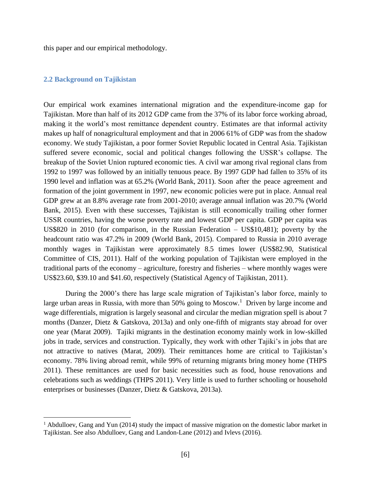this paper and our empirical methodology.

#### **2.2 Background on Tajikistan**

 $\overline{a}$ 

Our empirical work examines international migration and the expenditure-income gap for Tajikistan. More than half of its 2012 GDP came from the 37% of its labor force working abroad, making it the world's most remittance dependent country. Estimates are that informal activity makes up half of nonagricultural employment and that in 2006 61% of GDP was from the shadow economy. We study Tajikistan, a poor former Soviet Republic located in Central Asia. Tajikistan suffered severe economic, social and political changes following the USSR's collapse. The breakup of the Soviet Union ruptured economic ties. A civil war among rival regional clans from 1992 to 1997 was followed by an initially tenuous peace. By 1997 GDP had fallen to 35% of its 1990 level and inflation was at 65.2% (World Bank, 2011). Soon after the peace agreement and formation of the joint government in 1997, new economic policies were put in place. Annual real GDP grew at an 8.8% average rate from 2001-2010; average annual inflation was 20.7% (World Bank, 2015). Even with these successes, Tajikistan is still economically trailing other former USSR countries, having the worse poverty rate and lowest GDP per capita. GDP per capita was US\$820 in 2010 (for comparison, in the Russian Federation – US\$10,481); poverty by the headcount ratio was 47.2% in 2009 (World Bank, 2015). Compared to Russia in 2010 average monthly wages in Tajikistan were approximately 8.5 times lower (US\$82.90, Statistical Committee of CIS, 2011). Half of the working population of Tajikistan were employed in the traditional parts of the economy – agriculture, forestry and fisheries – where monthly wages were US\$23.60, \$39.10 and \$41.60, respectively (Statistical Agency of Tajikistan, 2011).

During the 2000's there has large scale migration of Tajikistan's labor force, mainly to large urban areas in Russia, with more than 50% going to Moscow.<sup>1</sup> Driven by large income and wage differentials, migration is largely seasonal and circular the median migration spell is about 7 months (Danzer, Dietz & Gatskova, 2013a) and only one-fifth of migrants stay abroad for over one year (Marat 2009). Tajiki migrants in the destination economy mainly work in low-skilled jobs in trade, services and construction. Typically, they work with other Tajiki's in jobs that are not attractive to natives (Marat, 2009). Their remittances home are critical to Tajikistan's economy. 78% living abroad remit, while 99% of returning migrants bring money home (THPS 2011). These remittances are used for basic necessities such as food, house renovations and celebrations such as weddings (THPS 2011). Very little is used to further schooling or household enterprises or businesses (Danzer, Dietz & Gatskova, 2013a).

<sup>&</sup>lt;sup>1</sup> Abdulloev, Gang and Yun (2014) study the impact of massive migration on the domestic labor market in Tajikistan. See also Abdulloev, Gang and Landon-Lane (2012) and Ivlevs (2016).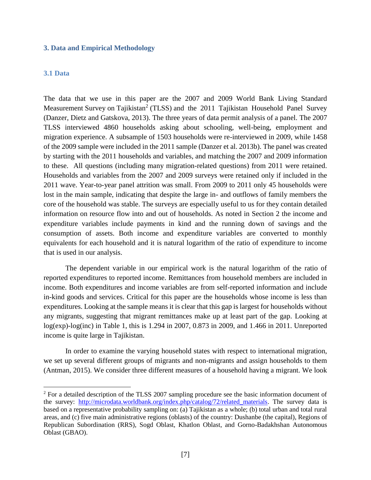#### **3. Data and Empirical Methodology**

### **3.1 Data**

 $\overline{a}$ 

The data that we use in this paper are the 2007 and 2009 World Bank Living Standard Measurement Survey on Tajikistan<sup>2</sup> (TLSS) and the 2011 Tajikistan Household Panel Survey (Danzer, Dietz and Gatskova, 2013). The three years of data permit analysis of a panel. The 2007 TLSS interviewed 4860 households asking about schooling, well-being, employment and migration experience. A subsample of 1503 households were re-interviewed in 2009, while 1458 of the 2009 sample were included in the 2011 sample (Danzer et al. 2013b). The panel was created by starting with the 2011 households and variables, and matching the 2007 and 2009 information to these. All questions (including many migration-related questions) from 2011 were retained. Households and variables from the 2007 and 2009 surveys were retained only if included in the 2011 wave. Year-to-year panel attrition was small. From 2009 to 2011 only 45 households were lost in the main sample, indicating that despite the large in- and outflows of family members the core of the household was stable. The surveys are especially useful to us for they contain detailed information on resource flow into and out of households. As noted in Section 2 the income and expenditure variables include payments in kind and the running down of savings and the consumption of assets. Both income and expenditure variables are converted to monthly equivalents for each household and it is natural logarithm of the ratio of expenditure to income that is used in our analysis.

The dependent variable in our empirical work is the natural logarithm of the ratio of reported expenditures to reported income. Remittances from household members are included in income. Both expenditures and income variables are from self-reported information and include in-kind goods and services. Critical for this paper are the households whose income is less than expenditures. Looking at the sample means it is clear that this gap is largest for households without any migrants, suggesting that migrant remittances make up at least part of the gap. Looking at log(exp)-log(inc) in Table 1, this is 1.294 in 2007, 0.873 in 2009, and 1.466 in 2011. Unreported income is quite large in Tajikistan.

In order to examine the varying household states with respect to international migration, we set up several different groups of migrants and non-migrants and assign households to them (Antman, 2015). We consider three different measures of a household having a migrant. We look

<sup>&</sup>lt;sup>2</sup> For a detailed description of the TLSS 2007 sampling procedure see the basic information document of the survey: [http://microdata.worldbank.org/index.php/catalog/72/related\\_materials.](http://microdata.worldbank.org/index.php/catalog/72/related_materials) The survey data is based on a representative probability sampling on: (a) Tajikistan as a whole; (b) total urban and total rural areas, and (c) five main administrative regions (oblasts) of the country: Dushanbe (the capital), Regions of Republican Subordination (RRS), Sogd Oblast, Khatlon Oblast, and Gorno-Badakhshan Autonomous Oblast (GBAO).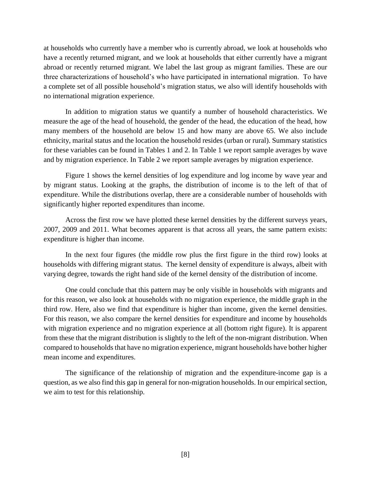at households who currently have a member who is currently abroad, we look at households who have a recently returned migrant, and we look at households that either currently have a migrant abroad or recently returned migrant. We label the last group as migrant families. These are our three characterizations of household's who have participated in international migration. To have a complete set of all possible household's migration status, we also will identify households with no international migration experience.

In addition to migration status we quantify a number of household characteristics. We measure the age of the head of household, the gender of the head, the education of the head, how many members of the household are below 15 and how many are above 65. We also include ethnicity, marital status and the location the household resides (urban or rural). Summary statistics for these variables can be found in Tables 1 and 2. In Table 1 we report sample averages by wave and by migration experience. In Table 2 we report sample averages by migration experience.

Figure 1 shows the kernel densities of log expenditure and log income by wave year and by migrant status. Looking at the graphs, the distribution of income is to the left of that of expenditure. While the distributions overlap, there are a considerable number of households with significantly higher reported expenditures than income.

Across the first row we have plotted these kernel densities by the different surveys years, 2007, 2009 and 2011. What becomes apparent is that across all years, the same pattern exists: expenditure is higher than income.

In the next four figures (the middle row plus the first figure in the third row) looks at households with differing migrant status. The kernel density of expenditure is always, albeit with varying degree, towards the right hand side of the kernel density of the distribution of income.

One could conclude that this pattern may be only visible in households with migrants and for this reason, we also look at households with no migration experience, the middle graph in the third row. Here, also we find that expenditure is higher than income, given the kernel densities. For this reason, we also compare the kernel densities for expenditure and income by households with migration experience and no migration experience at all (bottom right figure). It is apparent from these that the migrant distribution is slightly to the left of the non-migrant distribution. When compared to households that have no migration experience, migrant households have bother higher mean income and expenditures.

The significance of the relationship of migration and the expenditure-income gap is a question, as we also find this gap in general for non-migration households. In our empirical section, we aim to test for this relationship.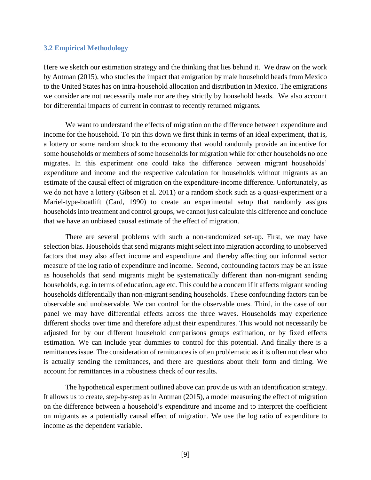### **3.2 Empirical Methodology**

Here we sketch our estimation strategy and the thinking that lies behind it. We draw on the work by Antman (2015), who studies the impact that emigration by male household heads from Mexico to the United States has on intra-household allocation and distribution in Mexico. The emigrations we consider are not necessarily male nor are they strictly by household heads. We also account for differential impacts of current in contrast to recently returned migrants.

We want to understand the effects of migration on the difference between expenditure and income for the household. To pin this down we first think in terms of an ideal experiment, that is, a lottery or some random shock to the economy that would randomly provide an incentive for some households or members of some households for migration while for other households no one migrates. In this experiment one could take the difference between migrant households' expenditure and income and the respective calculation for households without migrants as an estimate of the causal effect of migration on the expenditure-income difference. Unfortunately, as we do not have a lottery (Gibson et al. 2011) or a random shock such as a quasi-experiment or a Mariel-type-boatlift (Card, 1990) to create an experimental setup that randomly assigns households into treatment and control groups, we cannot just calculate this difference and conclude that we have an unbiased causal estimate of the effect of migration.

There are several problems with such a non-randomized set-up. First, we may have selection bias. Households that send migrants might select into migration according to unobserved factors that may also affect income and expenditure and thereby affecting our informal sector measure of the log ratio of expenditure and income. Second, confounding factors may be an issue as households that send migrants might be systematically different than non-migrant sending households, e.g. in terms of education, age etc. This could be a concern if it affects migrant sending households differentially than non-migrant sending households. These confounding factors can be observable and unobservable. We can control for the observable ones. Third, in the case of our panel we may have differential effects across the three waves. Households may experience different shocks over time and therefore adjust their expenditures. This would not necessarily be adjusted for by our different household comparisons groups estimation, or by fixed effects estimation. We can include year dummies to control for this potential. And finally there is a remittances issue. The consideration of remittances is often problematic as it is often not clear who is actually sending the remittances, and there are questions about their form and timing. We account for remittances in a robustness check of our results.

The hypothetical experiment outlined above can provide us with an identification strategy. It allows us to create, step-by-step as in Antman (2015), a model measuring the effect of migration on the difference between a household's expenditure and income and to interpret the coefficient on migrants as a potentially causal effect of migration. We use the log ratio of expenditure to income as the dependent variable.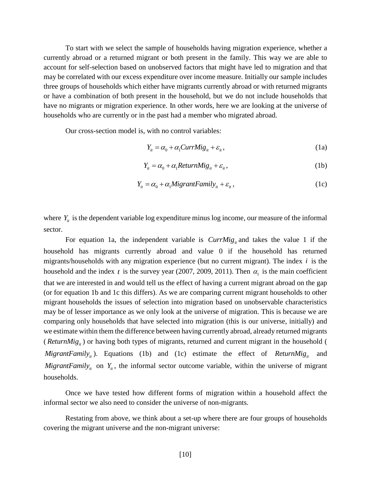To start with we select the sample of households having migration experience, whether a currently abroad or a returned migrant or both present in the family. This way we are able to account for self-selection based on unobserved factors that might have led to migration and that may be correlated with our excess expenditure over income measure. Initially our sample includes three groups of households which either have migrants currently abroad or with returned migrants or have a combination of both present in the household, but we do not include households that have no migrants or migration experience. In other words, here we are looking at the universe of households who are currently or in the past had a member who migrated abroad.

Our cross-section model is, with no control variables:

$$
Y_{it} = \alpha_0 + \alpha_1 CurrMig_{it} + \varepsilon_{it}, \qquad (1a)
$$

$$
Y_{it} = \alpha_0 + \alpha_1 ReturnMig_{it} + \varepsilon_{it}, \qquad (1b)
$$

$$
Y_{it} = \alpha_0 + \alpha_1 MigrantFamily_{it} + \varepsilon_{it}, \qquad (1c)
$$

where  $Y_{i}$  is the dependent variable log expenditure minus log income, our measure of the informal sector.

For equation 1a, the independent variable is  $CurrMig_{it}$  and takes the value 1 if the household has migrants currently abroad and value 0 if the household has returned migrants/households with any migration experience (but no current migrant). The index  $i$  is the household and the index  $t$  is the survey year (2007, 2009, 2011). Then  $\alpha_1$  is the main coefficient that we are interested in and would tell us the effect of having a current migrant abroad on the gap (or for equation 1b and 1c this differs). As we are comparing current migrant households to other migrant households the issues of selection into migration based on unobservable characteristics may be of lesser importance as we only look at the universe of migration. This is because we are comparing only households that have selected into migration (this is our universe, initially) and we estimate within them the difference between having currently abroad, already returned migrants (*ReturnMig<sub>it</sub>*) or having both types of migrants, returned and current migrant in the household ( *MigrantFamily<sub>it</sub>*). Equations (1b) and (1c) estimate the effect of *ReturnMig<sub>it</sub>* and *MigrantFamily<sub>it</sub>* on  $Y_i$ , the informal sector outcome variable, within the universe of migrant households.

Once we have tested how different forms of migration within a household affect the informal sector we also need to consider the universe of non-migrants.

Restating from above, we think about a set-up where there are four groups of households covering the migrant universe and the non-migrant universe: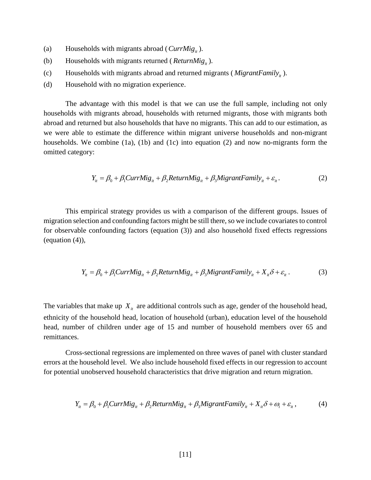- (a) Households with migrants abroad ( $CurrMig_i$ ).
- (b) Households with migrants returned ( $ReturnMig_i$ ).
- (c) Households with migrants abroad and returned migrants ( $MigrantFamily_{it}$ ).
- (d) Household with no migration experience.

The advantage with this model is that we can use the full sample, including not only households with migrants abroad, households with returned migrants, those with migrants both abroad and returned but also households that have no migrants. This can add to our estimation, as we were able to estimate the difference within migrant universe households and non-migrant households. We combine (1a), (1b) and (1c) into equation (2) and now no-migrants form the omitted category:

$$
Y_{it} = \beta_0 + \beta_1 CurrMig_{it} + \beta_2 ReturnMig_{it} + \beta_3 MigrantFamily_{it} + \varepsilon_{it}.
$$
 (2)

This empirical strategy provides us with a comparison of the different groups. Issues of migration selection and confounding factors might be still there, so we include covariates to control for observable confounding factors (equation (3)) and also household fixed effects regressions (equation (4)),

$$
Y_{it} = \beta_0 + \beta_1 CurrMig_{it} + \beta_2 ReturnMig_{it} + \beta_3 MigrantFamily_{it} + X_{it}\delta + \varepsilon_{it}.
$$
 (3)

The variables that make up  $X_{it}$  are additional controls such as age, gender of the household head, ethnicity of the household head, location of household (urban), education level of the household head, number of children under age of 15 and number of household members over 65 and remittances.

Cross-sectional regressions are implemented on three waves of panel with cluster standard errors at the household level. We also include household fixed effects in our regression to account for potential unobserved household characteristics that drive migration and return migration.

$$
Y_{it} = \beta_0 + \beta_1 CurrMig_{it} + \beta_2 ReturnMig_{it} + \beta_3 MigrantFamily_{it} + X_{it}\delta + \omega_i + \varepsilon_{it},
$$
 (4)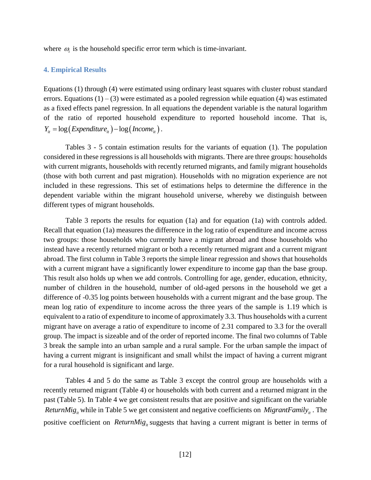where  $\omega_i$  is the household specific error term which is time-invariant.

#### **4. Empirical Results**

Equations (1) through (4) were estimated using ordinary least squares with cluster robust standard errors. Equations  $(1) - (3)$  were estimated as a pooled regression while equation (4) was estimated as a fixed effects panel regression. In all equations the dependent variable is the natural logarithm of the ratio of reported household expenditure to reported household income. That is,  $Y_{it} = \log(Expenditure_{it}) - \log(Kx)$ .

Tables 3 - 5 contain estimation results for the variants of equation (1). The population considered in these regressions is all households with migrants. There are three groups: households with current migrants, households with recently returned migrants, and family migrant households (those with both current and past migration). Households with no migration experience are not included in these regressions. This set of estimations helps to determine the difference in the dependent variable within the migrant household universe, whereby we distinguish between different types of migrant households.

Table 3 reports the results for equation (1a) and for equation (1a) with controls added. Recall that equation (1a) measures the difference in the log ratio of expenditure and income across two groups: those households who currently have a migrant abroad and those households who instead have a recently returned migrant or both a recently returned migrant and a current migrant abroad. The first column in Table 3 reports the simple linear regression and shows that households with a current migrant have a significantly lower expenditure to income gap than the base group. This result also holds up when we add controls. Controlling for age, gender, education, ethnicity, number of children in the household, number of old-aged persons in the household we get a difference of -0.35 log points between households with a current migrant and the base group. The mean log ratio of expenditure to income across the three years of the sample is 1.19 which is equivalent to a ratio of expenditure to income of approximately 3.3. Thus households with a current migrant have on average a ratio of expenditure to income of 2.31 compared to 3.3 for the overall group. The impact is sizeable and of the order of reported income. The final two columns of Table 3 break the sample into an urban sample and a rural sample. For the urban sample the impact of having a current migrant is insignificant and small whilst the impact of having a current migrant for a rural household is significant and large.

Tables 4 and 5 do the same as Table 3 except the control group are households with a recently returned migrant (Table 4) or households with both current and a returned migrant in the past (Table 5). In Table 4 we get consistent results that are positive and significant on the variable *ReturnMig<sub>it</sub>* while in Table 5 we get consistent and negative coefficients on *MigrantFamily<sub>it</sub>*. The positive coefficient on *ReturnMig<sub>it</sub>* suggests that having a current migrant is better in terms of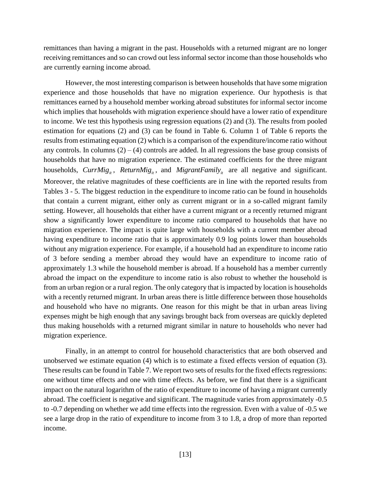remittances than having a migrant in the past. Households with a returned migrant are no longer receiving remittances and so can crowd out less informal sector income than those households who are currently earning income abroad.

However, the most interesting comparison is between households that have some migration experience and those households that have no migration experience. Our hypothesis is that remittances earned by a household member working abroad substitutes for informal sector income which implies that households with migration experience should have a lower ratio of expenditure to income. We test this hypothesis using regression equations (2) and (3). The results from pooled estimation for equations (2) and (3) can be found in Table 6. Column 1 of Table 6 reports the results from estimating equation (2) which is a comparison of the expenditure/income ratio without any controls. In columns  $(2) - (4)$  controls are added. In all regressions the base group consists of households that have no migration experience. The estimated coefficients for the three migrant households,  $CurrMig_{it}$ ,  $ReturnMig_{it}$ , and  $MigrantFamily_{it}$  are all negative and significant. Moreover, the relative magnitudes of these coefficients are in line with the reported results from Tables 3 - 5. The biggest reduction in the expenditure to income ratio can be found in households that contain a current migrant, either only as current migrant or in a so-called migrant family setting. However, all households that either have a current migrant or a recently returned migrant show a significantly lower expenditure to income ratio compared to households that have no migration experience. The impact is quite large with households with a current member abroad having expenditure to income ratio that is approximately 0.9 log points lower than households without any migration experience. For example, if a household had an expenditure to income ratio of 3 before sending a member abroad they would have an expenditure to income ratio of approximately 1.3 while the household member is abroad. If a household has a member currently abroad the impact on the expenditure to income ratio is also robust to whether the household is from an urban region or a rural region. The only category that is impacted by location is households with a recently returned migrant. In urban areas there is little difference between those households and household who have no migrants. One reason for this might be that in urban areas living expenses might be high enough that any savings brought back from overseas are quickly depleted thus making households with a returned migrant similar in nature to households who never had migration experience.

Finally, in an attempt to control for household characteristics that are both observed and unobserved we estimate equation (4) which is to estimate a fixed effects version of equation (3). These results can be found in Table 7. We report two sets of results for the fixed effects regressions: one without time effects and one with time effects. As before, we find that there is a significant impact on the natural logarithm of the ratio of expenditure to income of having a migrant currently abroad. The coefficient is negative and significant. The magnitude varies from approximately -0.5 to -0.7 depending on whether we add time effects into the regression. Even with a value of -0.5 we see a large drop in the ratio of expenditure to income from 3 to 1.8, a drop of more than reported income.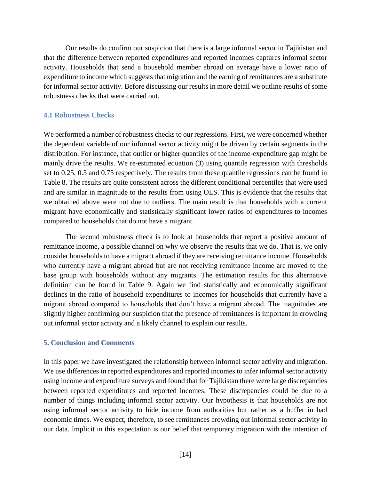Our results do confirm our suspicion that there is a large informal sector in Tajikistan and that the difference between reported expenditures and reported incomes captures informal sector activity. Households that send a household member abroad on average have a lower ratio of expenditure to income which suggests that migration and the earning of remittances are a substitute for informal sector activity. Before discussing our results in more detail we outline results of some robustness checks that were carried out.

## **4.1 Robustness Checks**

We performed a number of robustness checks to our regressions. First, we were concerned whether the dependent variable of our informal sector activity might be driven by certain segments in the distribution. For instance, that outlier or higher quantiles of the income-expenditure gap might be mainly drive the results. We re-estimated equation (3) using quantile regression with thresholds set to 0.25, 0.5 and 0.75 respectively. The results from these quantile regressions can be found in Table 8. The results are quite consistent across the different conditional percentiles that were used and are similar in magnitude to the results from using OLS. This is evidence that the results that we obtained above were not due to outliers. The main result is that households with a current migrant have economically and statistically significant lower ratios of expenditures to incomes compared to households that do not have a migrant.

The second robustness check is to look at households that report a positive amount of remittance income, a possible channel on why we observe the results that we do. That is, we only consider households to have a migrant abroad if they are receiving remittance income. Households who currently have a migrant abroad but are not receiving remittance income are moved to the base group with households without any migrants. The estimation results for this alternative definition can be found in Table 9. Again we find statistically and economically significant declines in the ratio of household expenditures to incomes for households that currently have a migrant abroad compared to households that don't have a migrant abroad. The magnitudes are slightly higher confirming our suspicion that the presence of remittances is important in crowding out informal sector activity and a likely channel to explain our results.

### **5. Conclusion and Comments**

In this paper we have investigated the relationship between informal sector activity and migration. We use differences in reported expenditures and reported incomes to infer informal sector activity using income and expenditure surveys and found that for Tajikistan there were large discrepancies between reported expenditures and reported incomes. These discrepancies could be due to a number of things including informal sector activity. Our hypothesis is that households are not using informal sector activity to hide income from authorities but rather as a buffer in bad economic times. We expect, therefore, to see remittances crowding out informal sector activity in our data. Implicit in this expectation is our belief that temporary migration with the intention of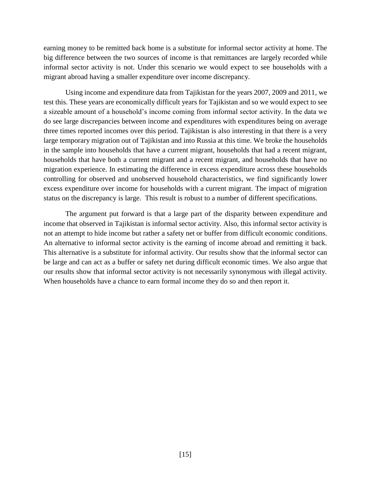earning money to be remitted back home is a substitute for informal sector activity at home. The big difference between the two sources of income is that remittances are largely recorded while informal sector activity is not. Under this scenario we would expect to see households with a migrant abroad having a smaller expenditure over income discrepancy.

Using income and expenditure data from Tajikistan for the years 2007, 2009 and 2011, we test this. These years are economically difficult years for Tajikistan and so we would expect to see a sizeable amount of a household's income coming from informal sector activity. In the data we do see large discrepancies between income and expenditures with expenditures being on average three times reported incomes over this period. Tajikistan is also interesting in that there is a very large temporary migration out of Tajikistan and into Russia at this time. We broke the households in the sample into households that have a current migrant, households that had a recent migrant, households that have both a current migrant and a recent migrant, and households that have no migration experience. In estimating the difference in excess expenditure across these households controlling for observed and unobserved household characteristics, we find significantly lower excess expenditure over income for households with a current migrant. The impact of migration status on the discrepancy is large. This result is robust to a number of different specifications.

The argument put forward is that a large part of the disparity between expenditure and income that observed in Tajikistan is informal sector activity. Also, this informal sector activity is not an attempt to hide income but rather a safety net or buffer from difficult economic conditions. An alternative to informal sector activity is the earning of income abroad and remitting it back. This alternative is a substitute for informal activity. Our results show that the informal sector can be large and can act as a buffer or safety net during difficult economic times. We also argue that our results show that informal sector activity is not necessarily synonymous with illegal activity. When households have a chance to earn formal income they do so and then report it.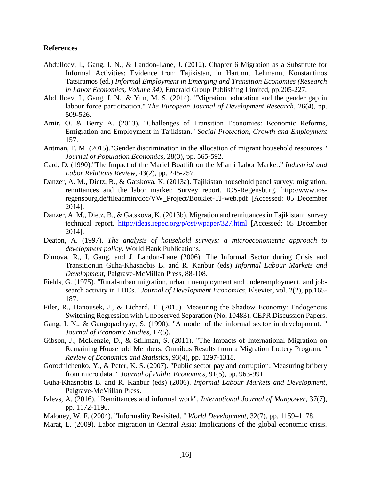#### **References**

- Abdulloev, I., Gang, I. N., & Landon-Lane, J. (2012). Chapter 6 Migration as a Substitute for Informal Activities: Evidence from Tajikistan, in Hartmut Lehmann, Konstantinos Tatsiramos (ed.) *Informal Employment in Emerging and Transition Economies (Research in Labor Economics, Volume 34)*, Emerald Group Publishing Limited, pp.205-227.
- Abdulloev, I., Gang, I. N., & Yun, M. S. (2014). "Migration, education and the gender gap in labour force participation." *The European Journal of Development Research*, 26(4), pp. 509-526.
- Amir, O. & Berry A. (2013). "Challenges of Transition Economies: Economic Reforms, Emigration and Employment in Tajikistan." *Social Protection, Growth and Employment* 157.
- Antman, F. M. (2015)."Gender discrimination in the allocation of migrant household resources." *Journal of Population Economics*, 28(3), pp. 565-592.
- Card, D. (1990)."The Impact of the Mariel Boatlift on the Miami Labor Market." *Industrial and Labor Relations Review*, 43(2), pp. 245-257.
- Danzer, A. M., Dietz, B., & Gatskova, K. (2013a). Tajikistan household panel survey: migration, remittances and the labor market: Survey report. IOS-Regensburg. http://www.iosregensburg.de/fileadmin/doc/VW\_Project/Booklet-TJ-web.pdf [Accessed: 05 December 2014].
- Danzer, A. M., Dietz, B., & Gatskova, K. (2013b). Migration and remittances in Tajikistan: survey technical report. <http://ideas.repec.org/p/ost/wpaper/327.html> [Accessed: 05 December 2014].
- Deaton, A. (1997). *The analysis of household surveys: a microeconometric approach to development policy*. World Bank Publications.
- Dimova, R., I. Gang, and J. Landon-Lane (2006). The Informal Sector during Crisis and Transition.in Guha-Khasnobis B. and R. Kanbur (eds) *Informal Labour Markets and Development*, Palgrave-McMillan Press, 88-108.
- Fields, G. (1975). "Rural-urban migration, urban unemployment and underemployment, and jobsearch activity in LDCs." *Journal of Development Economics*, Elsevier, vol. 2(2), pp.165- 187.
- Filer, R., Hanousek, J., & Lichard, T. (2015). Measuring the Shadow Economy: Endogenous Switching Regression with Unobserved Separation (No. 10483). CEPR Discussion Papers.
- Gang, I. N., & Gangopadhyay, S. (1990). "A model of the informal sector in development. " *Journal of Economic Studies*, 17(5).
- Gibson, J., McKenzie, D., & Stillman, S. (2011). "The Impacts of International Migration on Remaining Household Members: Omnibus Results from a Migration Lottery Program. " *Review of Economics and Statistics*, 93(4), pp. 1297-1318.
- Gorodnichenko, Y., & Peter, K. S. (2007). "Public sector pay and corruption: Measuring bribery from micro data. " *Journal of Public Economics*, 91(5), pp. 963-991.
- Guha-Khasnobis B. and R. Kanbur (eds) (2006). *Informal Labour Markets and Development*, Palgrave-McMillan Press.
- Ivlevs, A. (2016). "Remittances and informal work", *International Journal of Manpower*, 37(7), pp. 1172-1190.
- Maloney, W. F. (2004). "Informality Revisited. " *World Development*, 32(7), pp. 1159–1178.
- Marat, E. (2009). Labor migration in Central Asia: Implications of the global economic crisis.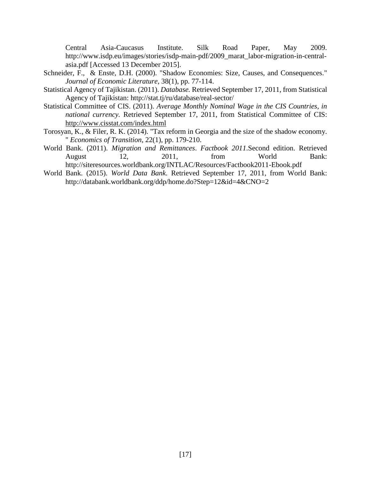Central Asia-Caucasus Institute. Silk Road Paper, May 2009. http://www.isdp.eu/images/stories/isdp-main-pdf/2009\_marat\_labor-migration-in-centralasia.pdf [Accessed 13 December 2015].

- Schneider, F., & Enste, D.H. (2000). "Shadow Economies: Size, Causes, and Consequences." *Journal of Economic Literature*, 38(1), pp. 77-114.
- Statistical Agency of Tajikistan. (2011). *Database.* Retrieved September 17, 2011, from Statistical Agency of Tajikistan: http://stat.tj/ru/database/real-sector/
- Statistical Committee of CIS. (2011). *Average Monthly Nominal Wage in the CIS Countries, in national currency.* Retrieved September 17, 2011, from Statistical Committee of CIS: <http://www.cisstat.com/index.html>
- Torosyan, K., & Filer, R. K. (2014). "Tax reform in Georgia and the size of the shadow economy. " *Economics of Transition*, 22(1), pp. 179-210.
- World Bank. (2011). *Migration and Remittances*. *Factbook 2011*.Second edition. Retrieved August 12, 2011, from World Bank: http://siteresources.worldbank.org/INTLAC/Resources/Factbook2011-Ebook.pdf
- World Bank. (2015). *World Data Bank*. Retrieved September 17, 2011, from World Bank: <http://databank.worldbank.org/ddp/home.do?Step=12&id=4&CNO=2>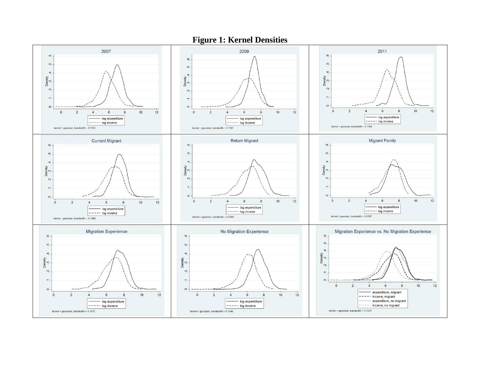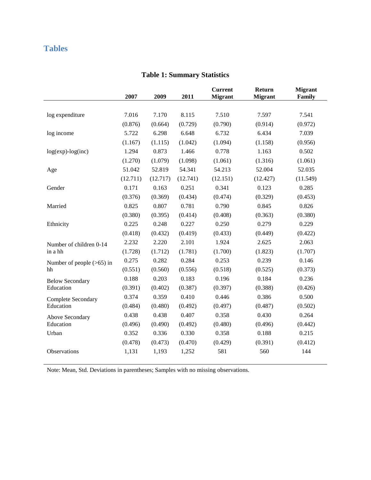# **Tables**

|                             | 2007     | 2009     | 2011     | <b>Current</b><br><b>Migrant</b> | Return<br><b>Migrant</b> | <b>Migrant</b><br>Family |
|-----------------------------|----------|----------|----------|----------------------------------|--------------------------|--------------------------|
|                             |          |          |          |                                  |                          |                          |
| log expenditure             | 7.016    | 7.170    | 8.115    | 7.510                            | 7.597                    | 7.541                    |
|                             | (0.876)  | (0.664)  | (0.729)  | (0.790)                          | (0.914)                  | (0.972)                  |
| log income                  | 5.722    | 6.298    | 6.648    | 6.732                            | 6.434                    | 7.039                    |
|                             | (1.167)  | (1.115)  | (1.042)  | (1.094)                          | (1.158)                  | (0.956)                  |
| $log(exp)$ - $log(inc)$     | 1.294    | 0.873    | 1.466    | 0.778                            | 1.163                    | 0.502                    |
|                             | (1.270)  | (1.079)  | (1.098)  | (1.061)                          | (1.316)                  | (1.061)                  |
| Age                         | 51.042   | 52.819   | 54.341   | 54.213                           | 52.004                   | 52.035                   |
|                             | (12.711) | (12.717) | (12.741) | (12.151)                         | (12.427)                 | (11.549)                 |
| Gender                      | 0.171    | 0.163    | 0.251    | 0.341                            | 0.123                    | 0.285                    |
|                             | (0.376)  | (0.369)  | (0.434)  | (0.474)                          | (0.329)                  | (0.453)                  |
| Married                     | 0.825    | 0.807    | 0.781    | 0.790                            | 0.845                    | 0.826                    |
|                             | (0.380)  | (0.395)  | (0.414)  | (0.408)                          | (0.363)                  | (0.380)                  |
| Ethnicity                   | 0.225    | 0.248    | 0.227    | 0.250                            | 0.279                    | 0.229                    |
|                             | (0.418)  | (0.432)  | (0.419)  | (0.433)                          | (0.449)                  | (0.422)                  |
| Number of children 0-14     | 2.232    | 2.220    | 2.101    | 1.924                            | 2.625                    | 2.063                    |
| in a hh                     | (1.728)  | (1.712)  | (1.781)  | (1.700)                          | (1.823)                  | (1.707)                  |
| Number of people $(>65)$ in | 0.275    | 0.282    | 0.284    | 0.253                            | 0.239                    | 0.146                    |
| hh                          | (0.551)  | (0.560)  | (0.556)  | (0.518)                          | (0.525)                  | (0.373)                  |
| <b>Below Secondary</b>      | 0.188    | 0.203    | 0.183    | 0.196                            | 0.184                    | 0.236                    |
| Education                   | (0.391)  | (0.402)  | (0.387)  | (0.397)                          | (0.388)                  | (0.426)                  |
| Complete Secondary          | 0.374    | 0.359    | 0.410    | 0.446                            | 0.386                    | 0.500                    |
| Education                   | (0.484)  | (0.480)  | (0.492)  | (0.497)                          | (0.487)                  | (0.502)                  |
| Above Secondary             | 0.438    | 0.438    | 0.407    | 0.358                            | 0.430                    | 0.264                    |
| Education                   | (0.496)  | (0.490)  | (0.492)  | (0.480)                          | (0.496)                  | (0.442)                  |
| Urban                       | 0.352    | 0.336    | 0.330    | 0.358                            | 0.188                    | 0.215                    |
|                             | (0.478)  | (0.473)  | (0.470)  | (0.429)                          | (0.391)                  | (0.412)                  |
| Observations                | 1,131    | 1,193    | 1,252    | 581                              | 560                      | 144                      |

## **Table 1: Summary Statistics**

Note: Mean, Std. Deviations in parentheses; Samples with no missing observations.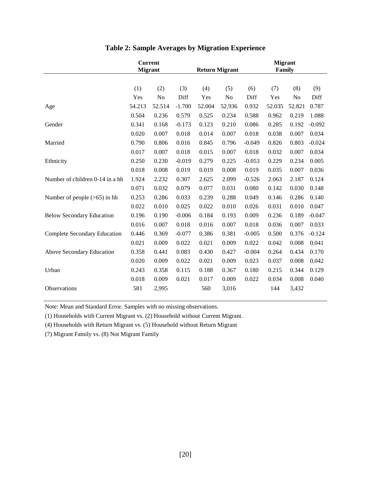| <b>Current</b> |        |                       |        |        | <b>Migrant</b>               |        |        |               |
|----------------|--------|-----------------------|--------|--------|------------------------------|--------|--------|---------------|
|                |        |                       |        |        |                              |        |        |               |
|                |        |                       |        |        |                              |        |        | (9)           |
| Yes            | No     | Diff                  | Yes    | No     | Diff                         | Yes    | No     | Diff          |
| 54.213         | 52.514 | $-1.700$              | 52.004 | 52.936 | 0.932                        | 52.035 | 52.821 | 0.787         |
| 0.504          | 0.236  | 0.579                 | 0.525  | 0.234  | 0.588                        | 0.962  | 0.219  | 1.088         |
| 0.341          | 0.168  | $-0.173$              | 0.123  | 0.210  | 0.086                        | 0.285  | 0.192  | $-0.092$      |
| 0.020          | 0.007  | 0.018                 | 0.014  | 0.007  | 0.018                        | 0.038  | 0.007  | 0.034         |
| 0.790          | 0.806  | 0.016                 | 0.845  | 0.796  | $-0.049$                     | 0.826  | 0.803  | $-0.024$      |
| 0.017          | 0.007  | 0.018                 | 0.015  | 0.007  | 0.018                        | 0.032  | 0.007  | 0.034         |
| 0.250          | 0.230  | $-0.019$              | 0.279  | 0.225  | $-0.053$                     | 0.229  | 0.234  | 0.005         |
| 0.018          | 0.008  | 0.019                 | 0.019  | 0.008  | 0.019                        | 0.035  | 0.007  | 0.036         |
| 1.924          | 2.232  | 0.307                 | 2.625  | 2.099  | $-0.526$                     | 2.063  | 2.187  | 0.124         |
| 0.071          | 0.032  | 0.079                 | 0.077  | 0.031  | 0.080                        | 0.142  | 0.030  | 0.148         |
| 0.253          | 0.286  | 0.033                 | 0.239  | 0.288  | 0.049                        | 0.146  | 0.286  | 0.140         |
| 0.022          | 0.010  | 0.025                 | 0.022  | 0.010  | 0.026                        | 0.031  | 0.010  | 0.047         |
| 0.196          | 0.190  | $-0.006$              | 0.184  | 0.193  | 0.009                        | 0.236  | 0.189  | $-0.047$      |
| 0.016          | 0.007  | 0.018                 | 0.016  | 0.007  | 0.018                        | 0.036  | 0.007  | 0.033         |
| 0.446          | 0.369  | $-0.077$              | 0.386  | 0.381  | $-0.005$                     | 0.500  | 0.376  | $-0.124$      |
| 0.021          | 0.009  | 0.022                 | 0.021  | 0.009  | 0.022                        | 0.042  | 0.008  | 0.041         |
| 0.358          | 0.441  | 0.083                 | 0.430  | 0.427  | $-0.004$                     | 0.264  | 0.434  | 0.170         |
| 0.020          | 0.009  | 0.022                 | 0.021  | 0.009  | 0.023                        | 0.037  | 0.008  | 0.042         |
| 0.243          | 0.358  | 0.115                 | 0.188  | 0.367  | 0.180                        | 0.215  | 0.344  | 0.129         |
| 0.018          | 0.009  | 0.021                 | 0.017  | 0.009  | 0.022                        | 0.034  | 0.008  | 0.040         |
| 581            | 2,995  |                       | 560    | 3,016  |                              | 144    | 3,432  |               |
|                | (1)    | <b>Migrant</b><br>(2) | (3)    | (4)    | <b>Return Migrant</b><br>(5) | (6)    | (7)    | Family<br>(8) |

## **Table 2: Sample Averages by Migration Experience**

Note: Mean and Standard Error. Samples with no missing observations.

(1) Households with Current Migrant vs. (2) Household without Current Migrant.

(4) Households with Return Migrant vs. (5) Household without Return Migrant

(7) Migrant Family vs. (8) Not Migrant Family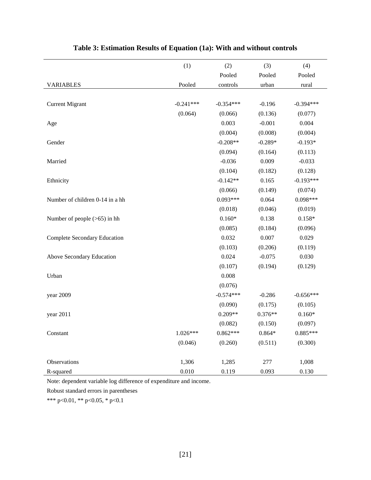|                                     | (1)         | (2)         | (3)       | (4)         |
|-------------------------------------|-------------|-------------|-----------|-------------|
|                                     |             | Pooled      | Pooled    | Pooled      |
| <b>VARIABLES</b>                    | Pooled      | controls    | urban     | rural       |
|                                     |             |             |           |             |
| <b>Current Migrant</b>              | $-0.241***$ | $-0.354***$ | $-0.196$  | $-0.394***$ |
|                                     | (0.064)     | (0.066)     | (0.136)   | (0.077)     |
| Age                                 |             | 0.003       | $-0.001$  | 0.004       |
|                                     |             | (0.004)     | (0.008)   | (0.004)     |
| Gender                              |             | $-0.208**$  | $-0.289*$ | $-0.193*$   |
|                                     |             | (0.094)     | (0.164)   | (0.113)     |
| Married                             |             | $-0.036$    | 0.009     | $-0.033$    |
|                                     |             | (0.104)     | (0.182)   | (0.128)     |
| Ethnicity                           |             | $-0.142**$  | 0.165     | $-0.193***$ |
|                                     |             | (0.066)     | (0.149)   | (0.074)     |
| Number of children 0-14 in a hh     |             | $0.093***$  | 0.064     | $0.098***$  |
|                                     |             | (0.018)     | (0.046)   | (0.019)     |
| Number of people $(>65)$ in hh      |             | $0.160*$    | 0.138     | $0.158*$    |
|                                     |             | (0.085)     | (0.184)   | (0.096)     |
| <b>Complete Secondary Education</b> |             | 0.032       | 0.007     | 0.029       |
|                                     |             | (0.103)     | (0.206)   | (0.119)     |
| Above Secondary Education           |             | 0.024       | $-0.075$  | 0.030       |
|                                     |             | (0.107)     | (0.194)   | (0.129)     |
| Urban                               |             | 0.008       |           |             |
|                                     |             | (0.076)     |           |             |
| year 2009                           |             | $-0.574***$ | $-0.286$  | $-0.656***$ |
|                                     |             | (0.090)     | (0.175)   | (0.105)     |
| year 2011                           |             | $0.209**$   | $0.376**$ | $0.160*$    |
|                                     |             | (0.082)     | (0.150)   | (0.097)     |
| Constant                            | $1.026***$  | $0.862***$  | $0.864*$  | $0.885***$  |
|                                     | (0.046)     | (0.260)     | (0.511)   | (0.300)     |
|                                     |             |             |           |             |
| Observations                        | 1,306       | 1,285       | 277       | 1,008       |
| R-squared                           | 0.010       | 0.119       | 0.093     | 0.130       |

## **Table 3: Estimation Results of Equation (1a): With and without controls**

Note: dependent variable log difference of expenditure and income.

Robust standard errors in parentheses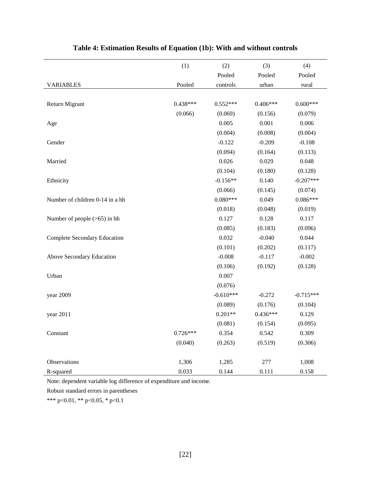|                                     | (1)        | (2)         | (3)        | (4)         |
|-------------------------------------|------------|-------------|------------|-------------|
|                                     |            | Pooled      | Pooled     | Pooled      |
| <b>VARIABLES</b>                    | Pooled     | controls    | urban      | rural       |
|                                     |            |             |            |             |
| Return Migrant                      | $0.438***$ | $0.552***$  | $0.406***$ | $0.600***$  |
|                                     | (0.066)    | (0.069)     | (0.156)    | (0.079)     |
| Age                                 |            | 0.005       | 0.001      | 0.006       |
|                                     |            | (0.004)     | (0.008)    | (0.004)     |
| Gender                              |            | $-0.122$    | $-0.209$   | $-0.108$    |
|                                     |            | (0.094)     | (0.164)    | (0.113)     |
| Married                             |            | 0.026       | 0.029      | 0.048       |
|                                     |            | (0.104)     | (0.180)    | (0.128)     |
| Ethnicity                           |            | $-0.156**$  | 0.140      | $-0.207***$ |
|                                     |            | (0.066)     | (0.145)    | (0.074)     |
| Number of children 0-14 in a hh     |            | $0.080***$  | 0.049      | $0.086***$  |
|                                     |            | (0.018)     | (0.048)    | (0.019)     |
| Number of people $(>65)$ in hh      |            | 0.127       | 0.128      | 0.117       |
|                                     |            | (0.085)     | (0.183)    | (0.096)     |
| <b>Complete Secondary Education</b> |            | 0.032       | $-0.040$   | 0.044       |
|                                     |            | (0.101)     | (0.202)    | (0.117)     |
| Above Secondary Education           |            | $-0.008$    | $-0.117$   | $-0.002$    |
|                                     |            | (0.106)     | (0.192)    | (0.128)     |
| Urban                               |            | 0.007       |            |             |
|                                     |            | (0.076)     |            |             |
| year 2009                           |            | $-0.610***$ | $-0.272$   | $-0.715***$ |
|                                     |            | (0.089)     | (0.176)    | (0.104)     |
| year 2011                           |            | $0.201**$   | $0.436***$ | 0.129       |
|                                     |            | (0.081)     | (0.154)    | (0.095)     |
| Constant                            | $0.726***$ | 0.354       | 0.542      | 0.309       |
|                                     | (0.040)    | (0.263)     | (0.519)    | (0.306)     |
|                                     |            |             |            |             |
| Observations                        | 1,306      | 1,285       | 277        | 1,008       |
| R-squared                           | 0.033      | 0.144       | 0.111      | 0.158       |

## **Table 4: Estimation Results of Equation (1b): With and without controls**

Note: dependent variable log difference of expenditure and income.

Robust standard errors in parentheses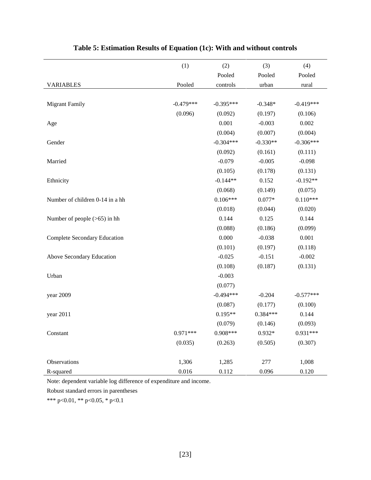|                                     | (1)         | (2)         | (3)        | (4)         |
|-------------------------------------|-------------|-------------|------------|-------------|
|                                     |             | Pooled      | Pooled     | Pooled      |
| <b>VARIABLES</b>                    | Pooled      | controls    | urban      | rural       |
|                                     |             |             |            |             |
| <b>Migrant Family</b>               | $-0.479***$ | $-0.395***$ | $-0.348*$  | $-0.419***$ |
|                                     | (0.096)     | (0.092)     | (0.197)    | (0.106)     |
| Age                                 |             | 0.001       | $-0.003$   | 0.002       |
|                                     |             | (0.004)     | (0.007)    | (0.004)     |
| Gender                              |             | $-0.304***$ | $-0.330**$ | $-0.306***$ |
|                                     |             | (0.092)     | (0.161)    | (0.111)     |
| Married                             |             | $-0.079$    | $-0.005$   | $-0.098$    |
|                                     |             | (0.105)     | (0.178)    | (0.131)     |
| Ethnicity                           |             | $-0.144**$  | 0.152      | $-0.192**$  |
|                                     |             | (0.068)     | (0.149)    | (0.075)     |
| Number of children 0-14 in a hh     |             | $0.106***$  | $0.077*$   | $0.110***$  |
|                                     |             | (0.018)     | (0.044)    | (0.020)     |
| Number of people $(>65)$ in hh      |             | 0.144       | 0.125      | 0.144       |
|                                     |             | (0.088)     | (0.186)    | (0.099)     |
| <b>Complete Secondary Education</b> |             | 0.000       | $-0.038$   | 0.001       |
|                                     |             | (0.101)     | (0.197)    | (0.118)     |
| Above Secondary Education           |             | $-0.025$    | $-0.151$   | $-0.002$    |
|                                     |             | (0.108)     | (0.187)    | (0.131)     |
| Urban                               |             | $-0.003$    |            |             |
|                                     |             | (0.077)     |            |             |
| year 2009                           |             | $-0.494***$ | $-0.204$   | $-0.577***$ |
|                                     |             | (0.087)     | (0.177)    | (0.100)     |
| year 2011                           |             | $0.195**$   | 0.384***   | 0.144       |
|                                     |             | (0.079)     | (0.146)    | (0.093)     |
| Constant                            | $0.971***$  | $0.908***$  | $0.932*$   | $0.931***$  |
|                                     | (0.035)     | (0.263)     | (0.505)    | (0.307)     |
|                                     |             |             |            |             |
| Observations                        | 1,306       | 1,285       | 277        | 1,008       |
| R-squared                           | 0.016       | 0.112       | 0.096      | 0.120       |

## **Table 5: Estimation Results of Equation (1c): With and without controls**

Note: dependent variable log difference of expenditure and income.

Robust standard errors in parentheses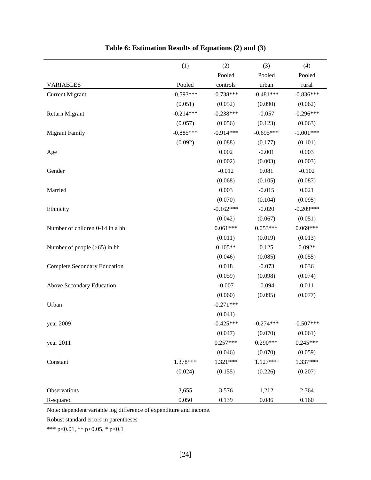|                                     | (1)         | (2)         | (3)         | (4)         |
|-------------------------------------|-------------|-------------|-------------|-------------|
|                                     |             | Pooled      | Pooled      | Pooled      |
| <b>VARIABLES</b>                    | Pooled      | controls    | urban       | rural       |
| <b>Current Migrant</b>              | $-0.593***$ | $-0.738***$ | $-0.481***$ | $-0.836***$ |
|                                     | (0.051)     | (0.052)     | (0.090)     | (0.062)     |
| Return Migrant                      | $-0.214***$ | $-0.238***$ | $-0.057$    | $-0.296***$ |
|                                     | (0.057)     | (0.056)     | (0.123)     | (0.063)     |
| <b>Migrant Family</b>               | $-0.885***$ | $-0.914***$ | $-0.695***$ | $-1.001***$ |
|                                     | (0.092)     | (0.088)     | (0.177)     | (0.101)     |
| Age                                 |             | 0.002       | $-0.001$    | 0.003       |
|                                     |             | (0.002)     | (0.003)     | (0.003)     |
| Gender                              |             | $-0.012$    | 0.081       | $-0.102$    |
|                                     |             | (0.068)     | (0.105)     | (0.087)     |
| Married                             |             | 0.003       | $-0.015$    | 0.021       |
|                                     |             | (0.070)     | (0.104)     | (0.095)     |
| Ethnicity                           |             | $-0.162***$ | $-0.020$    | $-0.209***$ |
|                                     |             | (0.042)     | (0.067)     | (0.051)     |
| Number of children 0-14 in a hh     |             | $0.061***$  | $0.053***$  | $0.069***$  |
|                                     |             | (0.011)     | (0.019)     | (0.013)     |
| Number of people $(>65)$ in hh      |             | $0.105**$   | 0.125       | $0.092*$    |
|                                     |             | (0.046)     | (0.085)     | (0.055)     |
| <b>Complete Secondary Education</b> |             | 0.018       | $-0.073$    | 0.036       |
|                                     |             | (0.059)     | (0.098)     | (0.074)     |
| Above Secondary Education           |             | $-0.007$    | $-0.094$    | 0.011       |
|                                     |             | (0.060)     | (0.095)     | (0.077)     |
| Urban                               |             | $-0.271***$ |             |             |
|                                     |             | (0.041)     |             |             |
| year 2009                           |             | $-0.425***$ | $-0.274***$ | $-0.507***$ |
|                                     |             | (0.047)     | (0.070)     | (0.061)     |
| year 2011                           |             | $0.257***$  | $0.290***$  | $0.245***$  |
|                                     |             | (0.046)     | (0.070)     | (0.059)     |
| Constant                            | 1.378***    | 1.321***    | $1.127***$  | 1.337***    |
|                                     | (0.024)     | (0.155)     | (0.226)     | (0.207)     |
|                                     |             |             |             |             |
| Observations                        | 3,655       | 3,576       | 1,212       | 2,364       |
| R-squared                           | 0.050       | 0.139       | 0.086       | 0.160       |

## **Table 6: Estimation Results of Equations (2) and (3)**

Note: dependent variable log difference of expenditure and income.

Robust standard errors in parentheses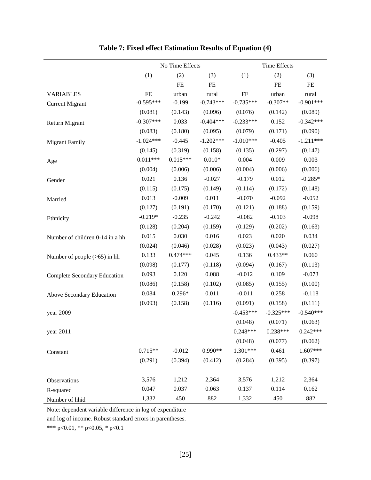|                                     |             | No Time Effects |             | Time Effects |             |             |  |
|-------------------------------------|-------------|-----------------|-------------|--------------|-------------|-------------|--|
|                                     | (1)         | (2)             | (3)         | (1)          | (2)         | (3)         |  |
|                                     |             | FE              | $\rm FE$    |              | <b>FE</b>   | FE          |  |
| <b>VARIABLES</b>                    | <b>FE</b>   | urban           | rural       | $FE$         | urban       | rural       |  |
| <b>Current Migrant</b>              | $-0.595***$ | $-0.199$        | $-0.743***$ | $-0.735***$  | $-0.307**$  | $-0.901***$ |  |
|                                     | (0.081)     | (0.143)         | (0.096)     | (0.076)      | (0.142)     | (0.089)     |  |
| Return Migrant                      | $-0.307***$ | 0.033           | $-0.404***$ | $-0.233***$  | 0.152       | $-0.342***$ |  |
|                                     | (0.083)     | (0.180)         | (0.095)     | (0.079)      | (0.171)     | (0.090)     |  |
| <b>Migrant Family</b>               | $-1.024***$ | $-0.445$        | $-1.202***$ | $-1.010***$  | $-0.405$    | $-1.211***$ |  |
|                                     | (0.145)     | (0.319)         | (0.158)     | (0.135)      | (0.297)     | (0.147)     |  |
| Age                                 | $0.011***$  | $0.015***$      | $0.010*$    | 0.004        | 0.009       | 0.003       |  |
|                                     | (0.004)     | (0.006)         | (0.006)     | (0.004)      | (0.006)     | (0.006)     |  |
| Gender                              | 0.021       | 0.136           | $-0.027$    | $-0.179$     | 0.012       | $-0.285*$   |  |
|                                     | (0.115)     | (0.175)         | (0.149)     | (0.114)      | (0.172)     | (0.148)     |  |
| Married                             | 0.013       | $-0.009$        | 0.011       | $-0.070$     | $-0.092$    | $-0.052$    |  |
|                                     | (0.127)     | (0.191)         | (0.170)     | (0.121)      | (0.188)     | (0.159)     |  |
| Ethnicity                           | $-0.219*$   | $-0.235$        | $-0.242$    | $-0.082$     | $-0.103$    | $-0.098$    |  |
|                                     | (0.128)     | (0.204)         | (0.159)     | (0.129)      | (0.202)     | (0.163)     |  |
| Number of children 0-14 in a hh     | 0.015       | 0.030           | 0.016       | 0.023        | 0.020       | 0.034       |  |
|                                     | (0.024)     | (0.046)         | (0.028)     | (0.023)      | (0.043)     | (0.027)     |  |
| Number of people $(>65)$ in hh      | 0.133       | $0.474***$      | 0.045       | 0.136        | $0.433**$   | 0.060       |  |
|                                     | (0.098)     | (0.177)         | (0.118)     | (0.094)      | (0.167)     | (0.113)     |  |
| <b>Complete Secondary Education</b> | 0.093       | 0.120           | 0.088       | $-0.012$     | 0.109       | $-0.073$    |  |
|                                     | (0.086)     | (0.158)         | (0.102)     | (0.085)      | (0.155)     | (0.100)     |  |
| Above Secondary Education           | 0.084       | $0.296*$        | 0.011       | $-0.011$     | 0.258       | $-0.118$    |  |
|                                     | (0.093)     | (0.158)         | (0.116)     | (0.091)      | (0.158)     | (0.111)     |  |
| year 2009                           |             |                 |             | $-0.453***$  | $-0.325***$ | $-0.540***$ |  |
|                                     |             |                 |             | (0.048)      | (0.071)     | (0.063)     |  |
| year 2011                           |             |                 |             | $0.248***$   | $0.238***$  | $0.242***$  |  |
|                                     |             |                 |             | (0.048)      | (0.077)     | (0.062)     |  |
| Constant                            | $0.715**$   | $-0.012$        | $0.990**$   | 1.301***     | 0.461       | 1.607***    |  |
|                                     | (0.291)     | (0.394)         | (0.412)     | (0.284)      | (0.395)     | (0.397)     |  |
| Observations                        | 3,576       | 1,212           | 2,364       | 3,576        | 1,212       | 2,364       |  |
| R-squared                           | 0.047       | 0.037           | 0.063       | 0.137        | 0.114       | 0.162       |  |
| Number of hhid                      | 1,332       | 450             | 882         | 1,332        | 450         | 882         |  |

## **Table 7: Fixed effect Estimation Results of Equation (4)**

Note: dependent variable difference in log of expenditure

and log of income. Robust standard errors in parentheses.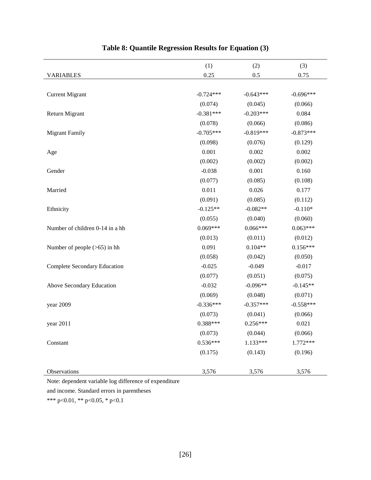|                                     | (1)         | (2)         | (3)         |
|-------------------------------------|-------------|-------------|-------------|
| <b>VARIABLES</b>                    | 0.25        | 0.5         | 0.75        |
|                                     |             |             |             |
| <b>Current Migrant</b>              | $-0.724***$ | $-0.643***$ | $-0.696***$ |
|                                     | (0.074)     | (0.045)     | (0.066)     |
| Return Migrant                      | $-0.381***$ | $-0.203***$ | 0.084       |
|                                     | (0.078)     | (0.066)     | (0.086)     |
| <b>Migrant Family</b>               | $-0.705***$ | $-0.819***$ | $-0.873***$ |
|                                     | (0.098)     | (0.076)     | (0.129)     |
| Age                                 | 0.001       | 0.002       | 0.002       |
|                                     | (0.002)     | (0.002)     | (0.002)     |
| Gender                              | $-0.038$    | 0.001       | 0.160       |
|                                     | (0.077)     | (0.085)     | (0.108)     |
| Married                             | 0.011       | 0.026       | 0.177       |
|                                     | (0.091)     | (0.085)     | (0.112)     |
| Ethnicity                           | $-0.125**$  | $-0.082**$  | $-0.110*$   |
|                                     | (0.055)     | (0.040)     | (0.060)     |
| Number of children 0-14 in a hh     | $0.069***$  | $0.066***$  | $0.063***$  |
|                                     | (0.013)     | (0.011)     | (0.012)     |
| Number of people $(>65)$ in hh      | 0.091       | $0.104**$   | $0.156***$  |
|                                     | (0.058)     | (0.042)     | (0.050)     |
| <b>Complete Secondary Education</b> | $-0.025$    | $-0.049$    | $-0.017$    |
|                                     | (0.077)     | (0.051)     | (0.075)     |
| Above Secondary Education           | $-0.032$    | $-0.096**$  | $-0.145**$  |
|                                     | (0.069)     | (0.048)     | (0.071)     |
| year 2009                           | $-0.336***$ | $-0.357***$ | $-0.558***$ |
|                                     | (0.073)     | (0.041)     | (0.066)     |
| year 2011                           | $0.388***$  | $0.256***$  | 0.021       |
|                                     | (0.073)     | (0.044)     | (0.066)     |
| Constant                            | $0.536***$  | 1.133***    | 1.772***    |
|                                     | (0.175)     | (0.143)     | (0.196)     |
|                                     |             |             |             |
| Observations                        | 3,576       | 3,576       | 3,576       |

## **Table 8: Quantile Regression Results for Equation (3)**

Note: dependent variable log difference of expenditure

and income. Standard errors in parentheses